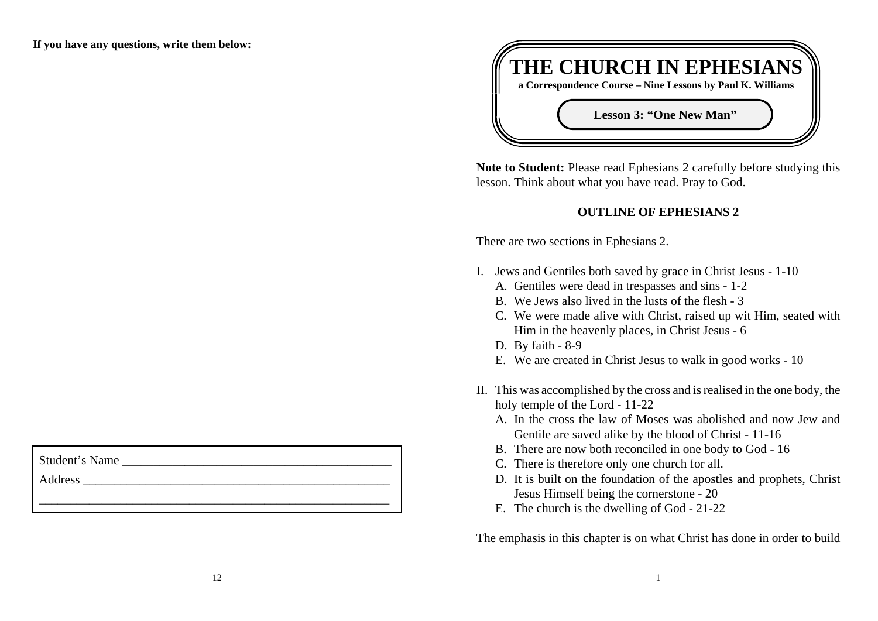**If you have any questions, write them below:**

Student's Name

Address  $\overline{\mathbf{A}}$ 



**Note to Student:** Please read Ephesians 2 carefully before studying this lesson. Think about what you have read. Pray to God.

# **OUTLINE OF EPHESIANS 2**

There are two sections in Ephesians 2.

- I. Jews and Gentiles both saved by grace in Christ Jesus 1-10
	- A. Gentiles were dead in trespasses and sins 1-2
	- B. We Jews also lived in the lusts of the flesh 3
	- C. We were made alive with Christ, raised up wit Him, seated with Him in the heavenly places, in Christ Jesus - 6
	- D. By faith 8-9
	- E. We are created in Christ Jesus to walk in good works 10
- II. This was accomplished by the cross and is realised in the one body, the holy temple of the Lord - 11-22
	- A. In the cross the law of Moses was abolished and now Jew and Gentile are saved alike by the blood of Christ - 11-16
	- B. There are now both reconciled in one body to God 16
	- C. There is therefore only one church for all.
	- D. It is built on the foundation of the apostles and prophets, Christ Jesus Himself being the cornerstone - 20
	- E. The church is the dwelling of God 21-22

The emphasis in this chapter is on what Christ has done in order to build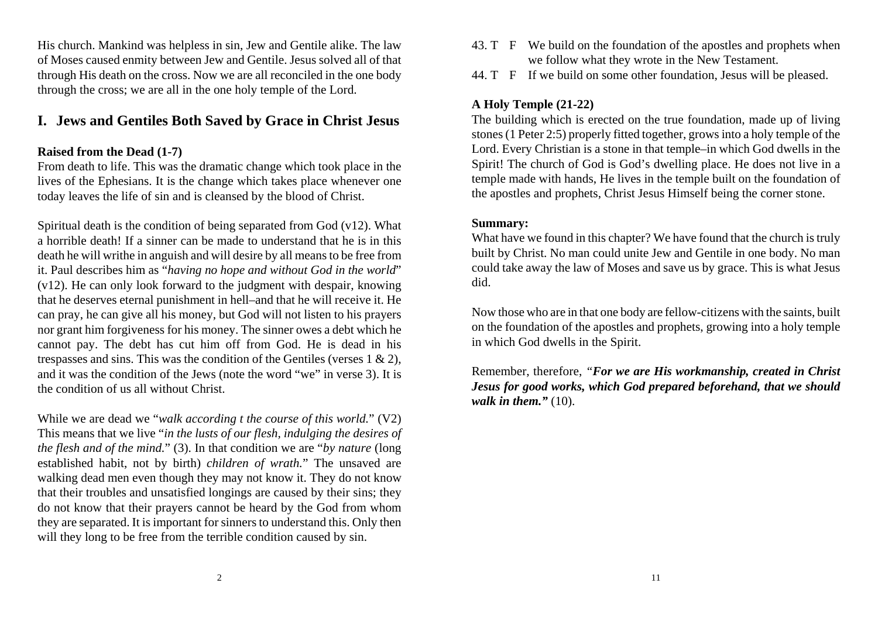His church. Mankind was helpless in sin, Jew and Gentile alike. The law of Moses caused enmity between Jew and Gentile. Jesus solved all of that through His death on the cross. Now we are all reconciled in the one body through the cross; we are all in the one holy temple of the Lord.

# **I. Jews and Gentiles Both Saved by Grace in Christ Jesus**

## **Raised from the Dead (1-7)**

From death to life. This was the dramatic change which took place in the lives of the Ephesians. It is the change which takes place whenever one today leaves the life of sin and is cleansed by the blood of Christ.

Spiritual death is the condition of being separated from God  $(v12)$ . What a horrible death! If a sinner can be made to understand that he is in this death he will writhe in anguish and will desire by all means to be free from it. Paul describes him as "*having no hope and without God in the world*" (v12). He can only look forward to the judgment with despair, knowing that he deserves eternal punishment in hell–and that he will receive it. He can pray, he can give all his money, but God will not listen to his prayers nor grant him forgiveness for his money. The sinner owes a debt which he cannot pay. The debt has cut him off from God. He is dead in his trespasses and sins. This was the condition of the Gentiles (verses  $1 \& 2$ ), and it was the condition of the Jews (note the word "we" in verse 3). It is the condition of us all without Christ.

While we are dead we "*walk according t the course of this world.*" (V2) This means that we live "*in the lusts of our flesh, indulging the desires of the flesh and of the mind.*" (3). In that condition we are "*by nature* (long established habit, not by birth) *children of wrath.*" The unsaved are walking dead men even though they may not know it. They do not know that their troubles and unsatisfied longings are caused by their sins; they do not know that their prayers cannot be heard by the God from whom they are separated. It is important for sinners to understand this. Only then will they long to be free from the terrible condition caused by sin.

- 43. T F We build on the foundation of the apostles and prophets when we follow what they wrote in the New Testament.
- 44. T F If we build on some other foundation, Jesus will be pleased.

# **A Holy Temple (21-22)**

The building which is erected on the true foundation, made up of living stones (1 Peter 2:5) properly fitted together, grows into a holy temple of the Lord. Every Christian is a stone in that temple–in which God dwells in the Spirit! The church of God is God's dwelling place. He does not live in a temple made with hands, He lives in the temple built on the foundation of the apostles and prophets, Christ Jesus Himself being the corner stone.

#### **Summary:**

What have we found in this chapter? We have found that the church is truly built by Christ. No man could unite Jew and Gentile in one body. No man could take away the law of Moses and save us by grace. This is what Jesus did.

Now those who are in that one body are fellow-citizens with the saints, built on the foundation of the apostles and prophets, growing into a holy temple in which God dwells in the Spirit.

Remember, therefore, *"For we are His workmanship, created in Christ Jesus for good works, which God prepared beforehand, that we should walk in them."* (10).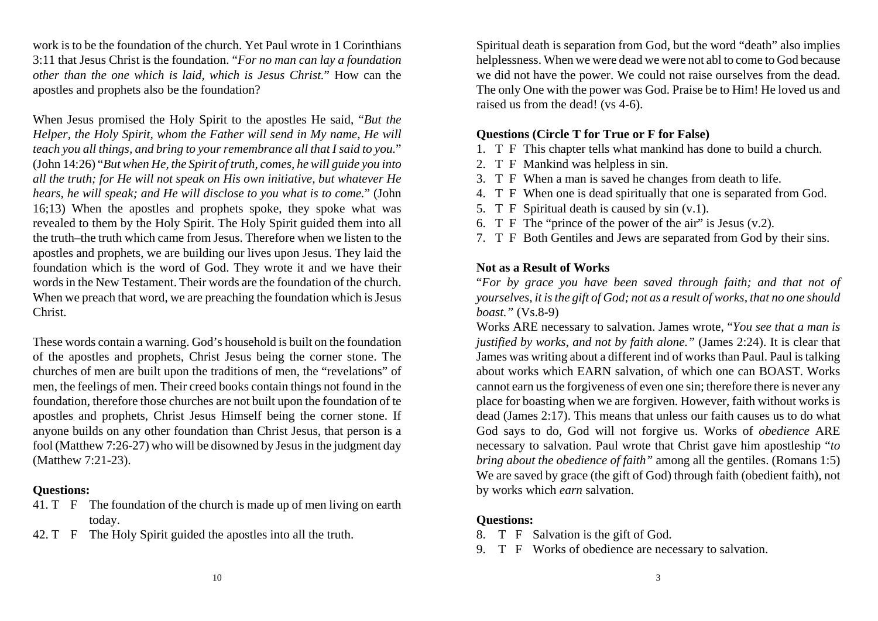work is to be the foundation of the church. Yet Paul wrote in 1 Corinthians3:11 that Jesus Christ is the foundation. "*For no man can lay a foundation other than the one which is laid, which is Jesus Christ.*" How can the apostles and prophets also be the foundation?

When Jesus promised the Holy Spirit to the apostles He said, "*But the Helper, the Holy Spirit, whom the Father will send in My name, He will teach you all things, and bring to your remembrance all that I said to you.*" (John 14:26) "*But when He, the Spirit of truth, comes, he will guide you into all the truth; for He will not speak on His own initiative, but whatever He hears, he will speak; and He will disclose to you what is to come.*" (John 16;13) When the apostles and prophets spoke, they spoke what was revealed to them by the Holy Spirit. The Holy Spirit guided them into all the truth–the truth which came from Jesus. Therefore when we listen to theapostles and prophets, we are building our lives upon Jesus. They laid the foundation which is the word of God. They wrote it and we have their words in the New Testament. Their words are the foundation of the church.When we preach that word, we are preaching the foundation which is Jesus Christ.

These words contain a warning. God's household is built on the foundation of the apostles and prophets, Christ Jesus being the corner stone. The churches of men are built upon the traditions of men, the "revelations" of men, the feelings of men. Their creed books contain things not found in the foundation, therefore those churches are not built upon the foundation of te apostles and prophets, Christ Jesus Himself being the corner stone. If anyone builds on any other foundation than Christ Jesus, that person is a fool (Matthew 7:26-27) who will be disowned by Jesus in the judgment day (Matthew 7:21-23).

#### **Questions:**

- 41. T F The foundation of the church is made up of men living on earth today.
- 42. T F The Holy Spirit guided the apostles into all the truth.

Spiritual death is separation from God, but the word "death" also implies helplessness. When we were dead we were not abl to come to God because we did not have the power. We could not raise ourselves from the dead. The only One with the power was God. Praise be to Him! He loved us and raised us from the dead! (vs 4-6).

#### **Questions (Circle T for True or F for False)**

1. T F This chapter tells what mankind has done to build a church.

- 2. T F Mankind was helpless in sin.
- 3. T F When a man is saved he changes from death to life.
- 4. T F When one is dead spiritually that one is separated from God.
- 5. T F Spiritual death is caused by sin (v.1).
- 6. T F The "prince of the power of the air" is Jesus (v.2).
- 7. T F Both Gentiles and Jews are separated from God by their sins.

## **Not as a Result of Works**

"*For by grace you have been saved through faith; and that not of yourselves, it is the gift of God; not as a result of works, that no one should boast."* (Vs.8-9)

Works ARE necessary to salvation. James wrote, "*You see that a man is justified by works, and not by faith alone."* (James 2:24). It is clear that James was writing about a different ind of works than Paul. Paul is talking about works which EARN salvation, of which one can BOAST. Works cannot earn us the forgiveness of even one sin; therefore there is never any place for boasting when we are forgiven. However, faith without works is dead (James 2:17). This means that unless our faith causes us to do what God says to do, God will not forgive us. Works of *obedience* ARE necessary to salvation. Paul wrote that Christ gave him apostleship "*to bring about the obedience of faith*" among all the gentiles. (Romans 1:5) We are saved by grace (the gift of God) through faith (obedient faith), not by works which *earn* salvation.

## **Questions:**

- 8. T F Salvation is the gift of God.
- 9. T F Works of obedience are necessary to salvation.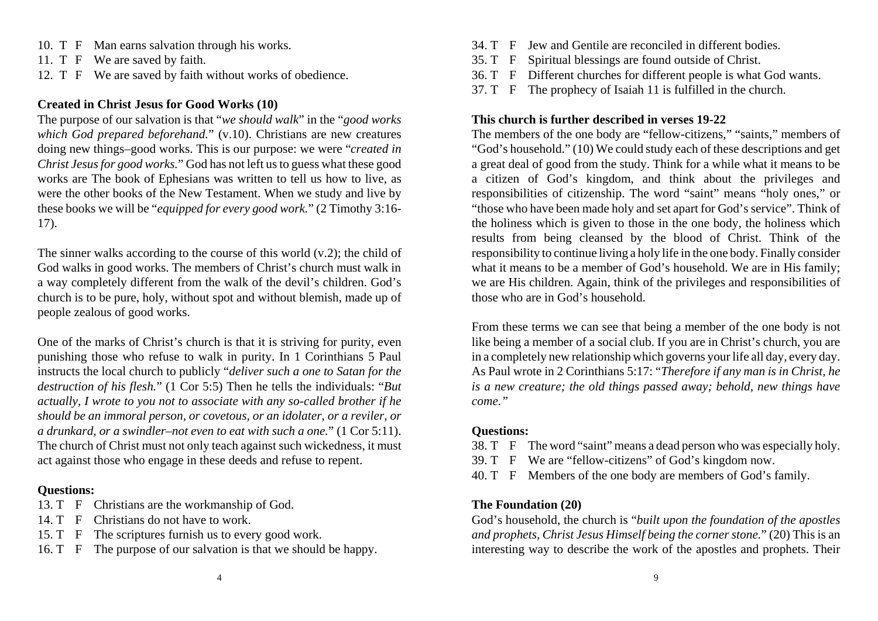- 10. T F Man earns salvation through his works.
- 11. T F We are saved by faith.
- 12. T F We are saved by faith without works of obedience.

#### **Created in Christ Jesus for Good Works (10)**

The purpose of our salvation is that "*we should walk*" in the "*good works which God prepared beforehand.*" (v.10). Christians are new creatures doing new things–good works. This is our purpose: we were "*created in Christ Jesus for good works.*" God has not left us to guess what these good works are The book of Ephesians was written to tell us how to live, as were the other books of the New Testament. When we study and live by these books we will be "*equipped for every good work.*" (2 Timothy 3:16- 17).

The sinner walks according to the course of this world  $(v.2)$ ; the child of God walks in good works. The members of Christ's church must walk in a way completely different from the walk of the devil's children. God's church is to be pure, holy, without spot and without blemish, made up of people zealous of good works.

One of the marks of Christ's church is that it is striving for purity, even punishing those who refuse to walk in purity. In 1 Corinthians 5 Paul instructs the local church to publicly "*deliver such a one to Satan for the destruction of his flesh.*" (1 Cor 5:5) Then he tells the individuals: "*But actually, I wrote to you not to associate with any so-called brother if he should be an immoral person, or covetous, or an idolater, or a reviler, or a drunkard, or a swindler–not even to eat with such a one.*" (1 Cor 5:11). The church of Christ must not only teach against such wickedness, it must act against those who engage in these deeds and refuse to repent.

#### **Questions:**

- 13. T F Christians are the workmanship of God.
- 14. T F Christians do not have to work.
- 15. T F The scriptures furnish us to every good work.
- 16. T F The purpose of our salvation is that we should be happy.
- 34. T F Jew and Gentile are reconciled in different bodies.
- 35. T F Spiritual blessings are found outside of Christ.
- 36. T F Different churches for different people is what God wants.
- 37. T F The prophecy of Isaiah 11 is fulfilled in the church.

#### **This church is further described in verses 19-22**

The members of the one body are "fellow-citizens," "saints," members of "God's household." (10) We could study each of these descriptions and get a great deal of good from the study. Think for a while what it means to be a citizen of God's kingdom, and think about the privileges and responsibilities of citizenship. The word "saint" means "holy ones," or "those who have been made holy and set apart for God's service". Think of the holiness which is given to those in the one body, the holiness which results from being cleansed by the blood of Christ. Think of the responsibility to continue living a holy life in the one body. Finally consider what it means to be a member of God's household. We are in His family; we are His children. Again, think of the privileges and responsibilities of those who are in God's household.

From these terms we can see that being a member of the one body is not like being a member of a social club. If you are in Christ's church, you are in a completely new relationship which governs your life all day, every day. As Paul wrote in 2 Corinthians 5:17: "*Therefore if any man is in Christ, he is a new creature; the old things passed away; behold, new things have come."*

#### **Questions:**

- 38. T F The word "saint" means a dead person who was especially holy.
- 39. T F We are "fellow-citizens" of God's kingdom now.
- 40. T F Members of the one body are members of God's family.

#### **The Foundation (20)**

God's household, the church is "*built upon the foundation of the apostles and prophets, Christ Jesus Himself being the corner stone.*" (20) This is an interesting way to describe the work of the apostles and prophets. Their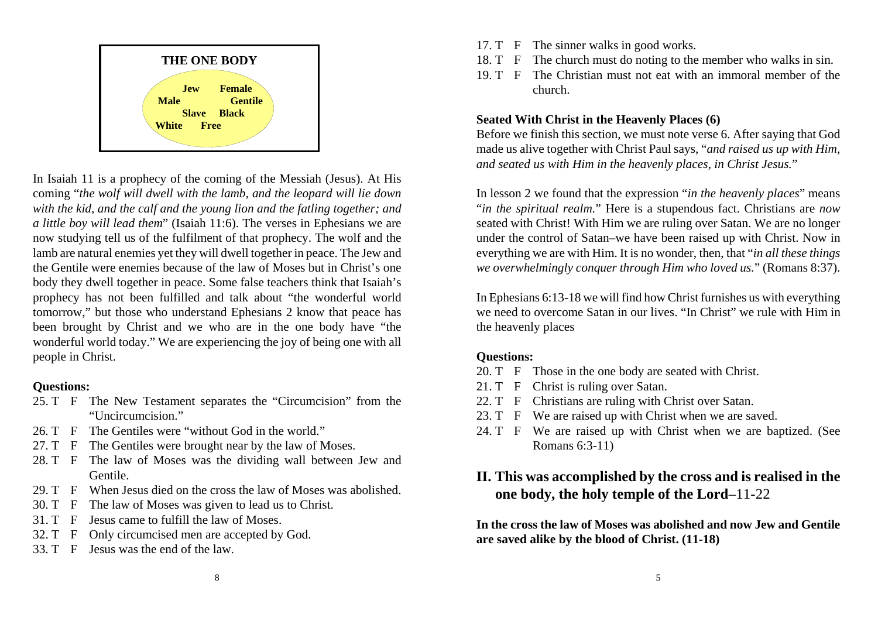

In Isaiah 11 is a prophecy of the coming of the Messiah (Jesus). At His coming "*the wolf will dwell with the lamb, and the leopard will lie down with the kid, and the calf and the young lion and the fatling together; and a little boy will lead them*" (Isaiah 11:6). The verses in Ephesians we are now studying tell us of the fulfilment of that prophecy. The wolf and the lamb are natural enemies yet they will dwell together in peace. The Jew and the Gentile were enemies because of the law of Moses but in Christ's onebody they dwell together in peace. Some false teachers think that Isaiah's prophecy has not been fulfilled and talk about "the wonderful world tomorrow," but those who understand Ephesians 2 know that peace has been brought by Christ and we who are in the one body have "the wonderful world today." We are experiencing the joy of being one with all people in Christ.

#### **Questions:**

- 25. T F The New Testament separates the "Circumcision" from the "Uncircumcision."
- 26. T F The Gentiles were "without God in the world."
- 27. T F The Gentiles were brought near by the law of Moses.
- 28. T F The law of Moses was the dividing wall between Jew and Gentile.
- 29. T F When Jesus died on the cross the law of Moses was abolished.
- 30. T F The law of Moses was given to lead us to Christ.
- 31. T F Jesus came to fulfill the law of Moses.
- 32. T F Only circumcised men are accepted by God.
- 33. T F Jesus was the end of the law.
- 17. T F The sinner walks in good works.
- 18. T F The church must do noting to the member who walks in sin.
- 19. T F The Christian must not eat with an immoral member of thechurch.

### **Seated With Christ in the Heavenly Places (6)**

Before we finish this section, we must note verse 6. After saying that God made us alive together with Christ Paul says, "*and raised us up with Him, and seated us with Him in the heavenly places, in Christ Jesus.*"

In lesson 2 we found that the expression "*in the heavenly places*" means "*in the spiritual realm.*" Here is a stupendous fact. Christians are *now* seated with Christ! With Him we are ruling over Satan. We are no longer under the control of Satan–we have been raised up with Christ. Now in everything we are with Him. It is no wonder, then, that "*in all these things we overwhelmingly conquer through Him who loved us.*" (Romans 8:37).

In Ephesians 6:13-18 we will find how Christ furnishes us with everything we need to overcome Satan in our lives. "In Christ" we rule with Him inthe heavenly places

### **Questions:**

- 20. T F Those in the one body are seated with Christ.
- 21. T F Christ is ruling over Satan.
- 22. T F Christians are ruling with Christ over Satan.
- 23. T F We are raised up with Christ when we are saved.
- 24. T F We are raised up with Christ when we are baptized. (See Romans 6:3-11)

# **II. This was accomplished by the cross and is realised in the one body, the holy temple of the Lord**–11-22

**In the cross the law of Moses was abolished and now Jew and Gentile are saved alike by the blood of Christ. (11-18)**